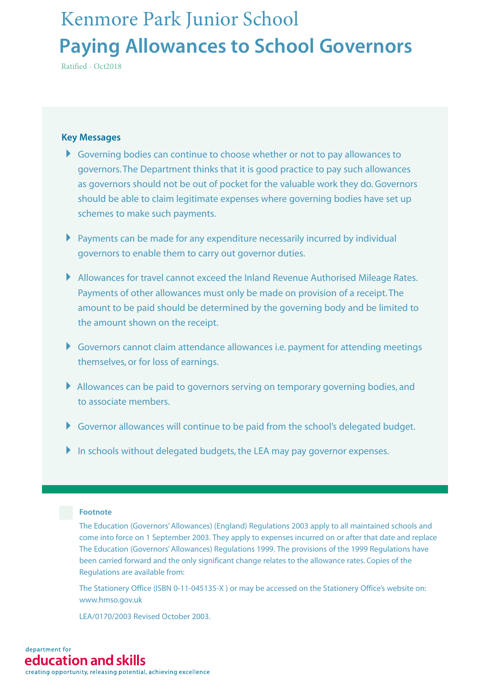# **Paying Allowances to School Governors** Kenmore Park Junior School

Ratified - Oct2018

#### **Key Messages**

- Governing bodies can continue to choose whether or not to pay allowances to governors. The Department thinks that it is good practice to pay such allowances as governors should not be out of pocket for the valuable work they do. Governors should be able to claim legitimate expenses where governing bodies have set up schemes to make such payments.
- Payments can be made for any expenditure necessarily incurred by individual governors to enable them to carry out governor duties.
- Allowances for travel cannot exceed the Inland Revenue Authorised Mileage Rates. Payments of other allowances must only be made on provision of a receipt. The amount to be paid should be determined by the governing body and be limited to the amount shown on the receipt.
- Governors cannot claim attendance allowances i.e. payment for attending meetings themselves, or for loss of earnings.
- Allowances can be paid to governors serving on temporary governing bodies, and to associate members.
- Governor allowances will continue to be paid from the school's delegated budget.
- In schools without delegated budgets, the LEA may pay governor expenses.

#### **Footnote**

The Education (Governors'Allowances) (England) Regulations 2003 apply to all maintained schools and come into force on 1 September 2003. They apply to expenses incurred on or after that date and replace The Education (Governors'Allowances) Regulations 1999. The provisions of the 1999 Regulations have been carried forward and the only significant change relates to the allowance rates. Copies of the Regulations are available from:

The Stationery Office (ISBN 0-11-045135-X ) or may be accessed on the Stationery Office's website on: www.hmso.gov.uk

LEA/0170/2003 Revised October 2003.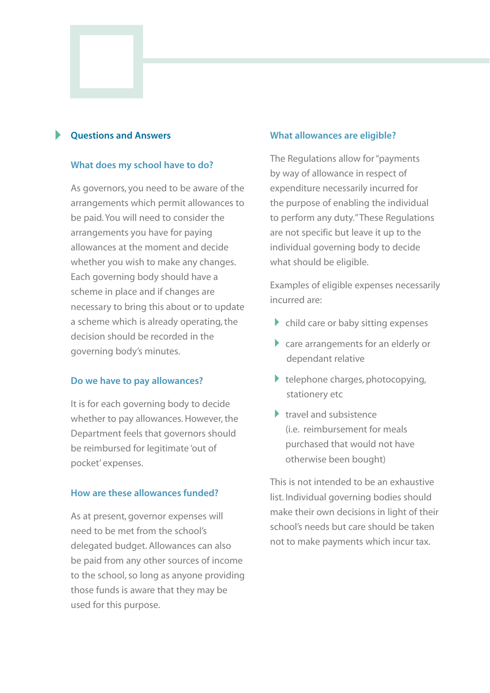#### **Questions and Answers** -

#### **What does my school have to do?**

As governors, you need to be aware of the arrangements which permit allowances to be paid. You will need to consider the arrangements you have for paying allowances at the moment and decide whether you wish to make any changes. Each governing body should have a scheme in place and if changes are necessary to bring this about or to update a scheme which is already operating, the decision should be recorded in the governing body's minutes.

#### **Do we have to pay allowances?**

It is for each governing body to decide whether to pay allowances. However, the Department feels that governors should be reimbursed for legitimate 'out of pocket' expenses.

#### **How are these allowances funded?**

As at present, governor expenses will need to be met from the school's delegated budget. Allowances can also be paid from any other sources of income to the school, so long as anyone providing those funds is aware that they may be used for this purpose.

#### **What allowances are eligible?**

The Regulations allow for "payments by way of allowance in respect of expenditure necessarily incurred for the purpose of enabling the individual to perform any duty."These Regulations are not specific but leave it up to the individual governing body to decide what should be eligible.

Examples of eligible expenses necessarily incurred are:

- child care or baby sitting expenses
- care arrangements for an elderly or dependant relative
- telephone charges, photocopying, stationery etc
- travel and subsistence (i.e. reimbursement for meals purchased that would not have otherwise been bought)

This is not intended to be an exhaustive list. Individual governing bodies should make their own decisions in light of their school's needs but care should be taken not to make payments which incur tax.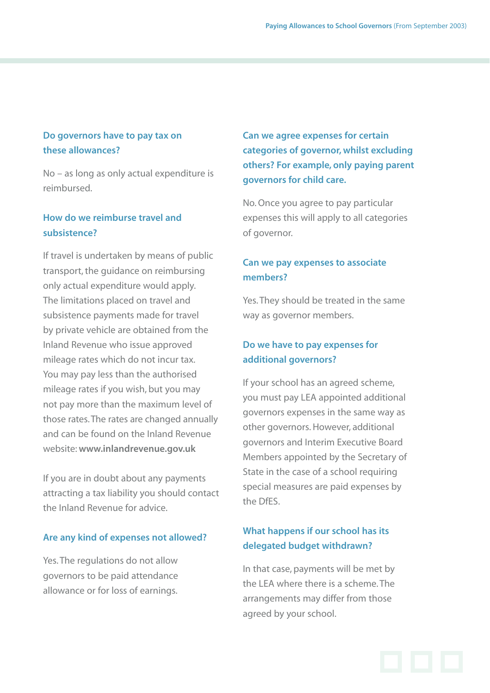## **Do governors have to pay tax on these allowances?**

No – as long as only actual expenditure is reimbursed.

## **How do we reimburse travel and subsistence?**

If travel is undertaken by means of public transport, the guidance on reimbursing only actual expenditure would apply. The limitations placed on travel and subsistence payments made for travel by private vehicle are obtained from the Inland Revenue who issue approved mileage rates which do not incur tax. You may pay less than the authorised mileage rates if you wish, but you may not pay more than the maximum level of those rates. The rates are changed annually and can be found on the Inland Revenue website: **www.inlandrevenue.gov.uk**

If you are in doubt about any payments attracting a tax liability you should contact the Inland Revenue for advice.

#### **Are any kind of expenses not allowed?**

Yes. The regulations do not allow governors to be paid attendance allowance or for loss of earnings.

**Can we agree expenses for certain categories of governor, whilst excluding others? For example, only paying parent governors for child care.**

No. Once you agree to pay particular expenses this will apply to all categories of governor.

## **Can we pay expenses to associate members?**

Yes. They should be treated in the same way as governor members.

## **Do we have to pay expenses for additional governors?**

If your school has an agreed scheme, you must pay LEA appointed additional governors expenses in the same way as other governors. However, additional governors and Interim Executive Board Members appointed by the Secretary of State in the case of a school requiring special measures are paid expenses by the DfES.

## **What happens if our school has its delegated budget withdrawn?**

In that case, payments will be met by the LEA where there is a scheme. The arrangements may differ from those agreed by your school.